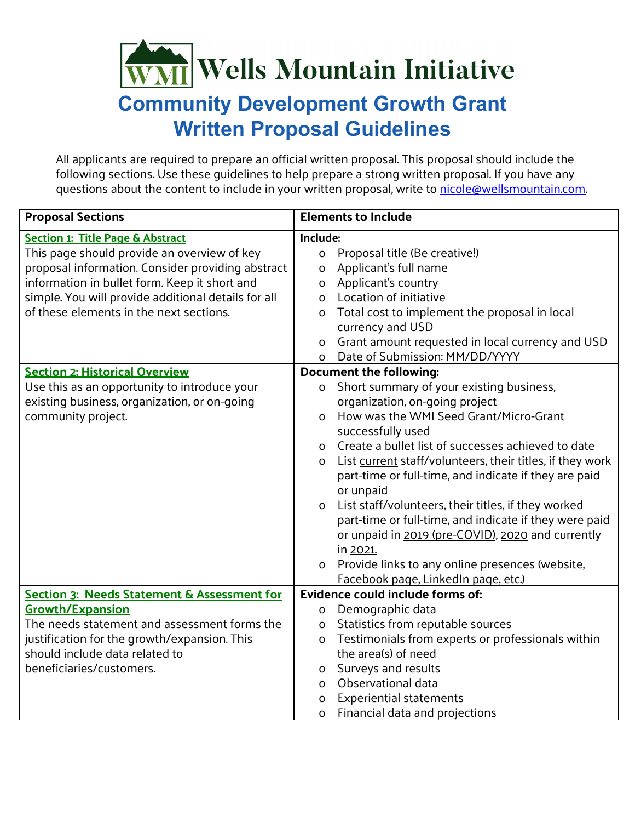## **WMI** Wells Mountain Initiative

## **Community Development Growth Grant Written Proposal Guidelines**

All applicants are required to prepare an official written proposal. This proposal should include the following sections. Use these guidelines to help prepare a strong written proposal. If you have any questions about the content to include in your written proposal, write to [nicole@wellsmountain.com.](mailto:nicole@wellsmountain.com)

| <b>Proposal Sections</b>                            |                                  | <b>Elements to Include</b>                                |
|-----------------------------------------------------|----------------------------------|-----------------------------------------------------------|
| <b>Section 1: Title Page &amp; Abstract</b>         | Include:                         |                                                           |
| This page should provide an overview of key         | 0                                | Proposal title (Be creative!)                             |
| proposal information. Consider providing abstract   | 0                                | Applicant's full name                                     |
| information in bullet form. Keep it short and       | 0                                | Applicant's country                                       |
| simple. You will provide additional details for all | 0                                | Location of initiative                                    |
| of these elements in the next sections.             | $\Omega$                         | Total cost to implement the proposal in local             |
|                                                     |                                  | currency and USD                                          |
|                                                     | 0                                | Grant amount requested in local currency and USD          |
|                                                     | $\mathsf{O}$                     | Date of Submission: MM/DD/YYYY                            |
| <b>Section 2: Historical Overview</b>               |                                  | <b>Document the following:</b>                            |
| Use this as an opportunity to introduce your        | $\mathsf{O}$                     | Short summary of your existing business,                  |
| existing business, organization, or on-going        |                                  | organization, on-going project                            |
| community project.                                  | $\Omega$                         | How was the WMI Seed Grant/Micro-Grant                    |
|                                                     |                                  | successfully used                                         |
|                                                     | $\mathsf{O}$                     | Create a bullet list of successes achieved to date        |
|                                                     | $\Omega$                         | List current staff/volunteers, their titles, if they work |
|                                                     |                                  | part-time or full-time, and indicate if they are paid     |
|                                                     |                                  | or unpaid                                                 |
|                                                     | $\mathsf{O}$                     | List staff/volunteers, their titles, if they worked       |
|                                                     |                                  | part-time or full-time, and indicate if they were paid    |
|                                                     |                                  | or unpaid in 2019 (pre-COVID), 2020 and currently         |
|                                                     |                                  | in 2021.                                                  |
|                                                     | $\mathsf{O}$                     | Provide links to any online presences (website,           |
|                                                     |                                  | Facebook page, LinkedIn page, etc.)                       |
| Section 3: Needs Statement & Assessment for         | Evidence could include forms of: |                                                           |
| <b>Growth/Expansion</b>                             | 0                                | Demographic data                                          |
| The needs statement and assessment forms the        | 0                                | Statistics from reputable sources                         |
| justification for the growth/expansion. This        | $\Omega$                         | Testimonials from experts or professionals within         |
| should include data related to                      |                                  | the area(s) of need                                       |
| beneficiaries/customers.                            | 0                                | Surveys and results                                       |
|                                                     | O                                | Observational data                                        |
|                                                     | o                                | <b>Experiential statements</b>                            |
|                                                     | O                                | Financial data and projections                            |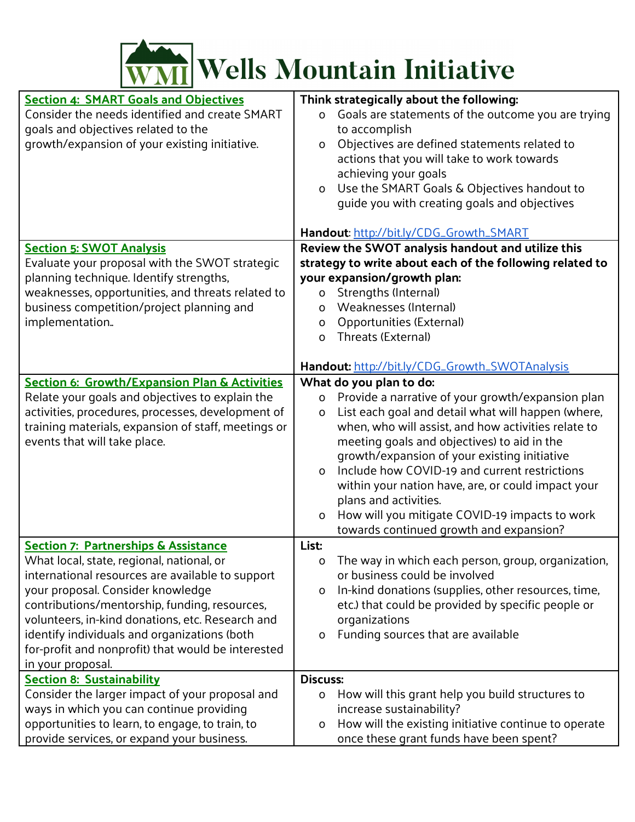

| <b>Section 4: SMART Goals and Objectives</b>        | Think strategically about the following:                          |
|-----------------------------------------------------|-------------------------------------------------------------------|
| Consider the needs identified and create SMART      | Goals are statements of the outcome you are trying<br>$\mathsf O$ |
| goals and objectives related to the                 | to accomplish                                                     |
| growth/expansion of your existing initiative.       | Objectives are defined statements related to<br>O                 |
|                                                     | actions that you will take to work towards                        |
|                                                     | achieving your goals                                              |
|                                                     | Use the SMART Goals & Objectives handout to<br>O                  |
|                                                     | quide you with creating goals and objectives                      |
|                                                     |                                                                   |
|                                                     | Handout: http://bit.ly/CDG_Growth_SMART                           |
| <b>Section 5: SWOT Analysis</b>                     | Review the SWOT analysis handout and utilize this                 |
| Evaluate your proposal with the SWOT strategic      | strategy to write about each of the following related to          |
| planning technique. Identify strengths,             | your expansion/growth plan:                                       |
| weaknesses, opportunities, and threats related to   | Strengths (Internal)<br>0                                         |
| business competition/project planning and           | Weaknesses (Internal)<br>$\Omega$                                 |
| implementation.                                     | <b>Opportunities (External)</b><br>0                              |
|                                                     | Threats (External)<br>$\Omega$                                    |
|                                                     |                                                                   |
|                                                     | Handout: http://bit.ly/CDG_Growth_SWOTAnalysis                    |
| Section 6: Growth/Expansion Plan & Activities       | What do you plan to do:                                           |
| Relate your goals and objectives to explain the     | Provide a narrative of your growth/expansion plan<br>0            |
| activities, procedures, processes, development of   | List each goal and detail what will happen (where,<br>O           |
| training materials, expansion of staff, meetings or | when, who will assist, and how activities relate to               |
| events that will take place.                        | meeting goals and objectives) to aid in the                       |
|                                                     | growth/expansion of your existing initiative                      |
|                                                     | Include how COVID-19 and current restrictions<br>$\Omega$         |
|                                                     | within your nation have, are, or could impact your                |
|                                                     | plans and activities.                                             |
|                                                     | How will you mitigate COVID-19 impacts to work<br>$\mathsf O$     |
|                                                     | towards continued growth and expansion?                           |
| <b>Section 7: Partnerships &amp; Assistance</b>     | List:                                                             |
| What local, state, regional, national, or           | The way in which each person, group, organization,<br>0           |
| international resources are available to support    | or business could be involved                                     |
| your proposal. Consider knowledge                   | In-kind donations (supplies, other resources, time,<br>O          |
| contributions/mentorship, funding, resources,       | etc.) that could be provided by specific people or                |
| volunteers, in-kind donations, etc. Research and    | organizations                                                     |
| identify individuals and organizations (both        | Funding sources that are available<br>o                           |
| for-profit and nonprofit) that would be interested  |                                                                   |
| in your proposal.                                   |                                                                   |
| <b>Section 8: Sustainability</b>                    | <b>Discuss:</b>                                                   |
| Consider the larger impact of your proposal and     | How will this grant help you build structures to<br>O             |
| ways in which you can continue providing            | increase sustainability?                                          |
| opportunities to learn, to engage, to train, to     | How will the existing initiative continue to operate<br>0         |
| provide services, or expand your business.          | once these grant funds have been spent?                           |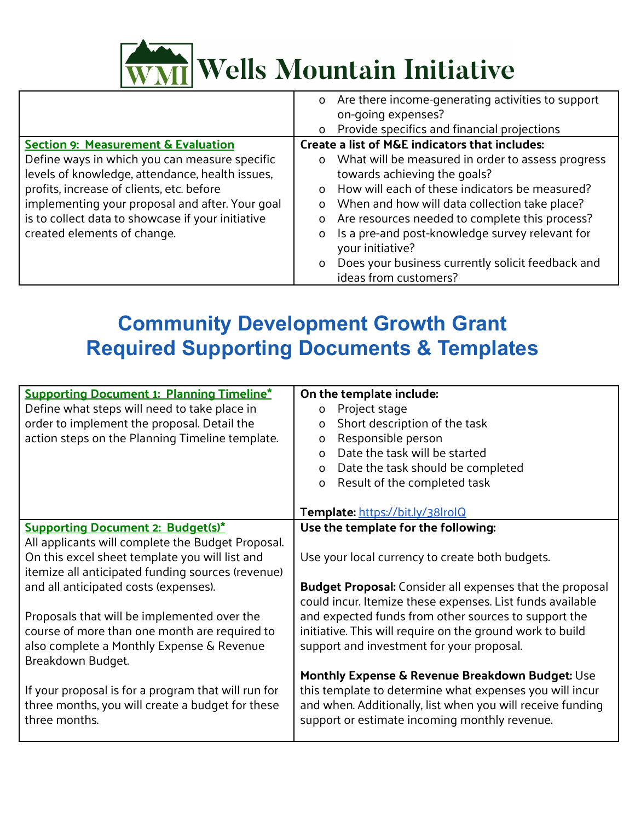

|                                                   | Are there income-generating activities to support<br>$\mathsf{O}$        |
|---------------------------------------------------|--------------------------------------------------------------------------|
|                                                   | on-going expenses?                                                       |
|                                                   | Provide specifics and financial projections<br>$\Omega$                  |
| <b>Section 9: Measurement &amp; Evaluation</b>    | Create a list of M&E indicators that includes:                           |
| Define ways in which you can measure specific     | What will be measured in order to assess progress<br>$\Omega$            |
| levels of knowledge, attendance, health issues,   | towards achieving the goals?                                             |
| profits, increase of clients, etc. before         | How will each of these indicators be measured?<br>$\Omega$               |
| implementing your proposal and after. Your goal   | When and how will data collection take place?<br>$\mathsf{o}$            |
| is to collect data to showcase if your initiative | Are resources needed to complete this process?<br>O                      |
| created elements of change.                       | Is a pre-and post-knowledge survey relevant for<br>O<br>your initiative? |
|                                                   | Does your business currently solicit feedback and<br>$\Omega$            |
|                                                   | ideas from customers?                                                    |

## **Community Development Growth Grant Required Supporting Documents & Templates**

|                                                     | On the template include:                                   |  |
|-----------------------------------------------------|------------------------------------------------------------|--|
| <b>Supporting Document 1: Planning Timeline*</b>    |                                                            |  |
| Define what steps will need to take place in        | Project stage<br>$\Omega$                                  |  |
| order to implement the proposal. Detail the         | Short description of the task<br>$\mathsf{o}$              |  |
| action steps on the Planning Timeline template.     | Responsible person<br>O                                    |  |
|                                                     | Date the task will be started<br>$\Omega$                  |  |
|                                                     | Date the task should be completed<br>$\mathsf{o}$          |  |
|                                                     | Result of the completed task<br>O                          |  |
|                                                     |                                                            |  |
|                                                     | Template: https://bit.ly/38lrolQ                           |  |
| <b>Supporting Document 2: Budget(s)*</b>            | Use the template for the following:                        |  |
| All applicants will complete the Budget Proposal.   |                                                            |  |
| On this excel sheet template you will list and      | Use your local currency to create both budgets.            |  |
| itemize all anticipated funding sources (revenue)   |                                                            |  |
| and all anticipated costs (expenses).               | Budget Proposal: Consider all expenses that the proposal   |  |
|                                                     | could incur. Itemize these expenses. List funds available  |  |
| Proposals that will be implemented over the         | and expected funds from other sources to support the       |  |
| course of more than one month are required to       | initiative. This will require on the ground work to build  |  |
|                                                     |                                                            |  |
| also complete a Monthly Expense & Revenue           | support and investment for your proposal.                  |  |
| Breakdown Budget.                                   |                                                            |  |
|                                                     | Monthly Expense & Revenue Breakdown Budget: Use            |  |
| If your proposal is for a program that will run for | this template to determine what expenses you will incur    |  |
| three months, you will create a budget for these    | and when. Additionally, list when you will receive funding |  |
| three months.                                       | support or estimate incoming monthly revenue.              |  |
|                                                     |                                                            |  |